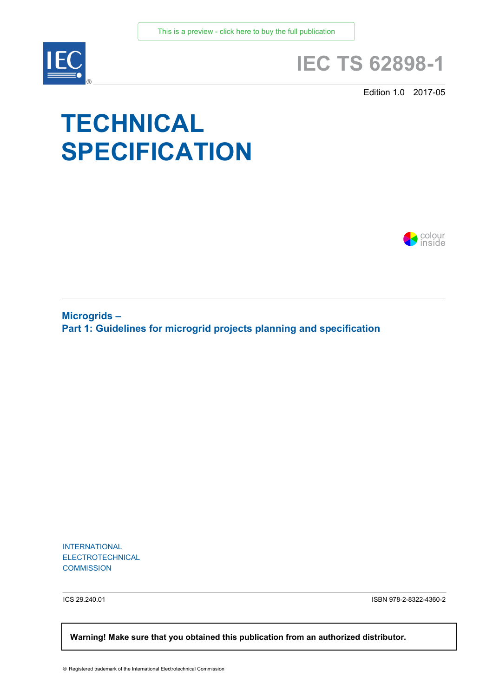

## **IEC TS 62898-1**

Edition 1.0 2017-05

# **TECHNICAL SPECIFICATION**



**Microgrids – Part 1: Guidelines for microgrid projects planning and specification**

INTERNATIONAL ELECTROTECHNICAL **COMMISSION** 

ICS 29.240.01 ISBN 978-2-8322-4360-2

 **Warning! Make sure that you obtained this publication from an authorized distributor.**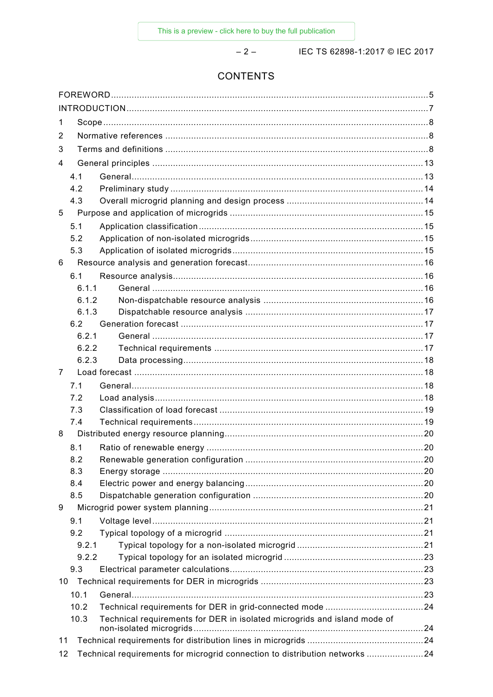$-2-$ 

IEC TS 62898-1:2017 © IEC 2017

### **CONTENTS**

| 1. |              |                                                                             |  |  |  |
|----|--------------|-----------------------------------------------------------------------------|--|--|--|
| 2  |              |                                                                             |  |  |  |
| 3  |              |                                                                             |  |  |  |
| 4  |              |                                                                             |  |  |  |
|    | 4.1          |                                                                             |  |  |  |
|    | 4.2          |                                                                             |  |  |  |
|    | 4.3          |                                                                             |  |  |  |
| 5  |              |                                                                             |  |  |  |
|    | 5.1          |                                                                             |  |  |  |
|    | 5.2          |                                                                             |  |  |  |
|    | 5.3          |                                                                             |  |  |  |
| 6  |              |                                                                             |  |  |  |
|    | 6.1          |                                                                             |  |  |  |
|    | 6.1.1        |                                                                             |  |  |  |
|    | 6.1.2        |                                                                             |  |  |  |
|    | 6.1.3        |                                                                             |  |  |  |
|    | 6.2<br>6.2.1 |                                                                             |  |  |  |
|    | 6.2.2        |                                                                             |  |  |  |
|    | 6.2.3        |                                                                             |  |  |  |
| 7  |              |                                                                             |  |  |  |
|    | 7.1          |                                                                             |  |  |  |
|    | 7.2          |                                                                             |  |  |  |
|    | 7.3          |                                                                             |  |  |  |
|    | 7.4          |                                                                             |  |  |  |
| 8  |              |                                                                             |  |  |  |
|    | 8.1          |                                                                             |  |  |  |
|    | 8.2          |                                                                             |  |  |  |
|    | 8.3          |                                                                             |  |  |  |
|    | 8.4          |                                                                             |  |  |  |
|    | 8.5          |                                                                             |  |  |  |
| 9  |              |                                                                             |  |  |  |
|    | 9.1          |                                                                             |  |  |  |
|    | 9.2          |                                                                             |  |  |  |
|    | 9.2.1        |                                                                             |  |  |  |
|    | 9.2.2        |                                                                             |  |  |  |
|    | 9.3          |                                                                             |  |  |  |
| 10 |              |                                                                             |  |  |  |
|    | 10.1         |                                                                             |  |  |  |
|    | 10.2         |                                                                             |  |  |  |
|    | 10.3         | Technical requirements for DER in isolated microgrids and island mode of    |  |  |  |
| 11 |              |                                                                             |  |  |  |
| 12 |              | Technical requirements for microgrid connection to distribution networks 24 |  |  |  |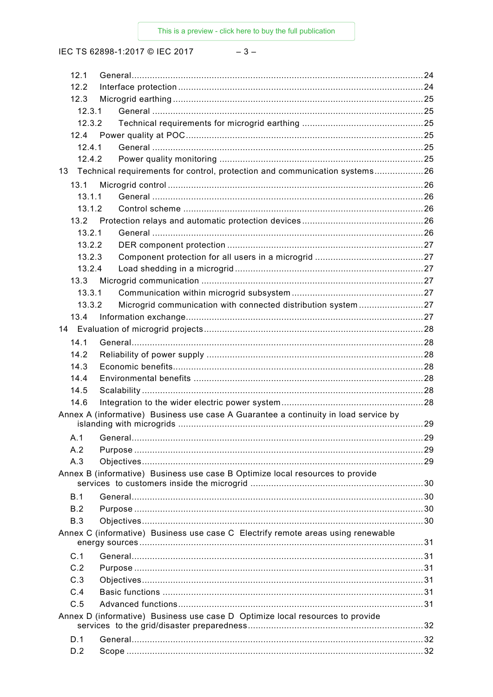IEC TS 62898-1:2017 © IEC 2017

#### $-3-$

|                                                                               | 12.1        |                                                                                     |  |  |  |  |
|-------------------------------------------------------------------------------|-------------|-------------------------------------------------------------------------------------|--|--|--|--|
|                                                                               | 12.2        |                                                                                     |  |  |  |  |
|                                                                               | 12.3        |                                                                                     |  |  |  |  |
|                                                                               | 12.3.1      |                                                                                     |  |  |  |  |
|                                                                               | 12.3.2      |                                                                                     |  |  |  |  |
|                                                                               | 12.4        |                                                                                     |  |  |  |  |
|                                                                               | 12.4.1      |                                                                                     |  |  |  |  |
|                                                                               | 12.4.2      |                                                                                     |  |  |  |  |
| 13                                                                            |             | Technical requirements for control, protection and communication systems26          |  |  |  |  |
|                                                                               | 13.1        |                                                                                     |  |  |  |  |
|                                                                               | 13.1.1      |                                                                                     |  |  |  |  |
|                                                                               | 13.1.2      |                                                                                     |  |  |  |  |
|                                                                               | 13.2        |                                                                                     |  |  |  |  |
|                                                                               | 13.2.1      |                                                                                     |  |  |  |  |
|                                                                               | 13.2.2      |                                                                                     |  |  |  |  |
|                                                                               | 13.2.3      |                                                                                     |  |  |  |  |
|                                                                               | 13.2.4      |                                                                                     |  |  |  |  |
|                                                                               | 13.3        |                                                                                     |  |  |  |  |
|                                                                               | 13.3.1      |                                                                                     |  |  |  |  |
|                                                                               |             |                                                                                     |  |  |  |  |
|                                                                               | 13.3.2      | Microgrid communication with connected distribution system 27                       |  |  |  |  |
|                                                                               | 13.4        |                                                                                     |  |  |  |  |
|                                                                               |             |                                                                                     |  |  |  |  |
|                                                                               | 14.1        |                                                                                     |  |  |  |  |
|                                                                               | 14.2        |                                                                                     |  |  |  |  |
|                                                                               | 14.3        |                                                                                     |  |  |  |  |
|                                                                               | 14.4        |                                                                                     |  |  |  |  |
|                                                                               | 14.5        |                                                                                     |  |  |  |  |
|                                                                               | 14.6        |                                                                                     |  |  |  |  |
|                                                                               |             | Annex A (informative) Business use case A Guarantee a continuity in load service by |  |  |  |  |
|                                                                               |             |                                                                                     |  |  |  |  |
|                                                                               | A.2         |                                                                                     |  |  |  |  |
|                                                                               | A.3         |                                                                                     |  |  |  |  |
|                                                                               |             | Annex B (informative) Business use case B Optimize local resources to provide       |  |  |  |  |
|                                                                               |             |                                                                                     |  |  |  |  |
|                                                                               | <b>B</b> .1 |                                                                                     |  |  |  |  |
|                                                                               | B.2         |                                                                                     |  |  |  |  |
|                                                                               | B.3         |                                                                                     |  |  |  |  |
|                                                                               |             | Annex C (informative) Business use case C Electrify remote areas using renewable    |  |  |  |  |
|                                                                               | C.1         |                                                                                     |  |  |  |  |
|                                                                               | C.2         |                                                                                     |  |  |  |  |
|                                                                               | C.3         |                                                                                     |  |  |  |  |
|                                                                               | C.4         |                                                                                     |  |  |  |  |
|                                                                               | C.5         |                                                                                     |  |  |  |  |
| Annex D (informative) Business use case D Optimize local resources to provide |             |                                                                                     |  |  |  |  |
|                                                                               | D.1         |                                                                                     |  |  |  |  |
|                                                                               | D.2         |                                                                                     |  |  |  |  |
|                                                                               |             |                                                                                     |  |  |  |  |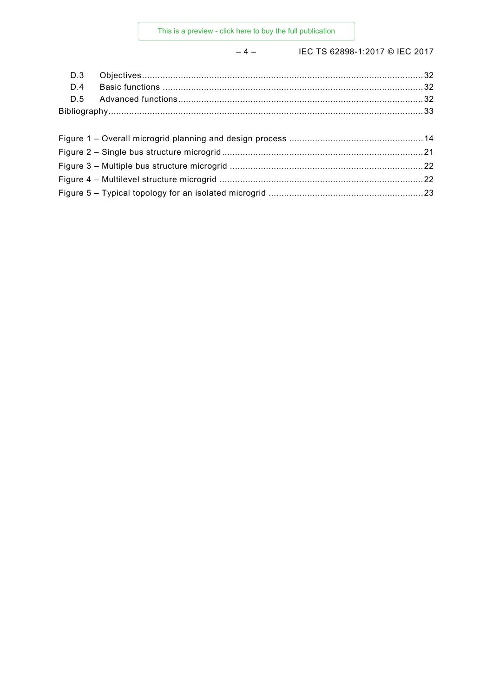– 4 – IEC TS 62898-1:2017 © IEC 2017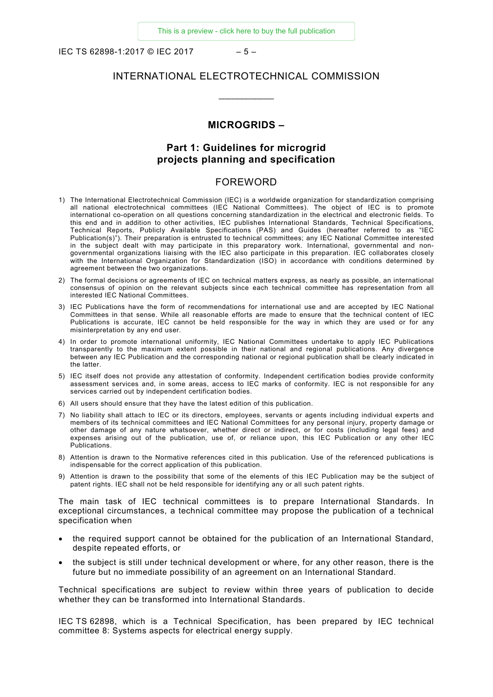IEC TS 62898-1:2017 © IEC 2017 – 5 –

#### INTERNATIONAL ELECTROTECHNICAL COMMISSION

\_\_\_\_\_\_\_\_\_\_\_\_

#### **MICROGRIDS –**

#### **Part 1: Guidelines for microgrid projects planning and specification**

#### FOREWORD

- <span id="page-4-0"></span>1) The International Electrotechnical Commission (IEC) is a worldwide organization for standardization comprising all national electrotechnical committees (IEC National Committees). The object of IEC is to promote international co-operation on all questions concerning standardization in the electrical and electronic fields. To this end and in addition to other activities, IEC publishes International Standards, Technical Specifications, Technical Reports, Publicly Available Specifications (PAS) and Guides (hereafter referred to as "IEC Publication(s)"). Their preparation is entrusted to technical committees; any IEC National Committee interested in the subject dealt with may participate in this preparatory work. International, governmental and nongovernmental organizations liaising with the IEC also participate in this preparation. IEC collaborates closely with the International Organization for Standardization (ISO) in accordance with conditions determined by agreement between the two organizations.
- 2) The formal decisions or agreements of IEC on technical matters express, as nearly as possible, an international consensus of opinion on the relevant subjects since each technical committee has representation from all interested IEC National Committees.
- 3) IEC Publications have the form of recommendations for international use and are accepted by IEC National Committees in that sense. While all reasonable efforts are made to ensure that the technical content of IEC Publications is accurate, IEC cannot be held responsible for the way in which they are used or for any misinterpretation by any end user.
- 4) In order to promote international uniformity, IEC National Committees undertake to apply IEC Publications transparently to the maximum extent possible in their national and regional publications. Any divergence between any IEC Publication and the corresponding national or regional publication shall be clearly indicated in the latter.
- 5) IEC itself does not provide any attestation of conformity. Independent certification bodies provide conformity assessment services and, in some areas, access to IEC marks of conformity. IEC is not responsible for any services carried out by independent certification bodies.
- 6) All users should ensure that they have the latest edition of this publication.
- 7) No liability shall attach to IEC or its directors, employees, servants or agents including individual experts and members of its technical committees and IEC National Committees for any personal injury, property damage or other damage of any nature whatsoever, whether direct or indirect, or for costs (including legal fees) and expenses arising out of the publication, use of, or reliance upon, this IEC Publication or any other IEC Publications.
- 8) Attention is drawn to the Normative references cited in this publication. Use of the referenced publications is indispensable for the correct application of this publication.
- 9) Attention is drawn to the possibility that some of the elements of this IEC Publication may be the subject of patent rights. IEC shall not be held responsible for identifying any or all such patent rights.

The main task of IEC technical committees is to prepare International Standards. In exceptional circumstances, a technical committee may propose the publication of a technical specification when

- the required support cannot be obtained for the publication of an International Standard, despite repeated efforts, or
- the subject is still under technical development or where, for any other reason, there is the future but no immediate possibility of an agreement on an International Standard.

Technical specifications are subject to review within three years of publication to decide whether they can be transformed into International Standards.

IEC TS 62898, which is a Technical Specification, has been prepared by IEC technical committee 8: Systems aspects for electrical energy supply.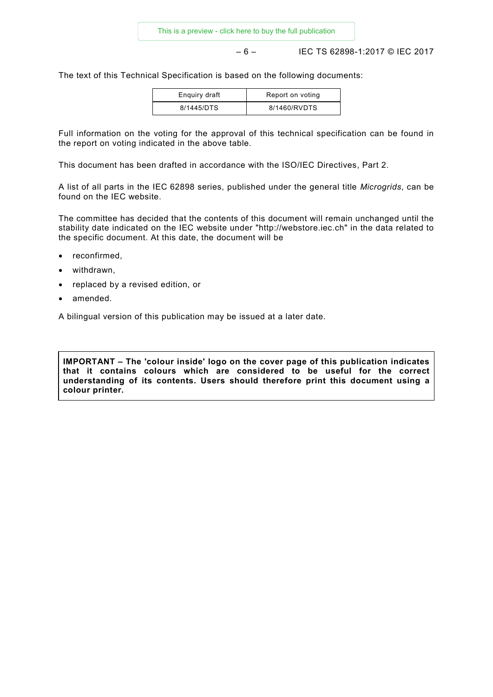– 6 – IEC TS 62898-1:2017 © IEC 2017

The text of this Technical Specification is based on the following documents:

| Enquiry draft | Report on voting |
|---------------|------------------|
| 8/1445/DTS    | 8/1460/RVDTS     |

Full information on the voting for the approval of this technical specification can be found in the report on voting indicated in the above table.

This document has been drafted in accordance with the ISO/IEC Directives, Part 2.

A list of all parts in the IEC 62898 series, published under the general title *Microgrids*, can be found on the IEC website.

The committee has decided that the contents of this document will remain unchanged until the stability date indicated on the IEC website under "http://webstore.iec.ch" in the data related to the specific document. At this date, the document will be

- reconfirmed,
- withdrawn,
- replaced by a revised edition, or
- amended.

A bilingual version of this publication may be issued at a later date.

**IMPORTANT – The 'colour inside' logo on the cover page of this publication indicates that it contains colours which are considered to be useful for the correct understanding of its contents. Users should therefore print this document using a colour printer.**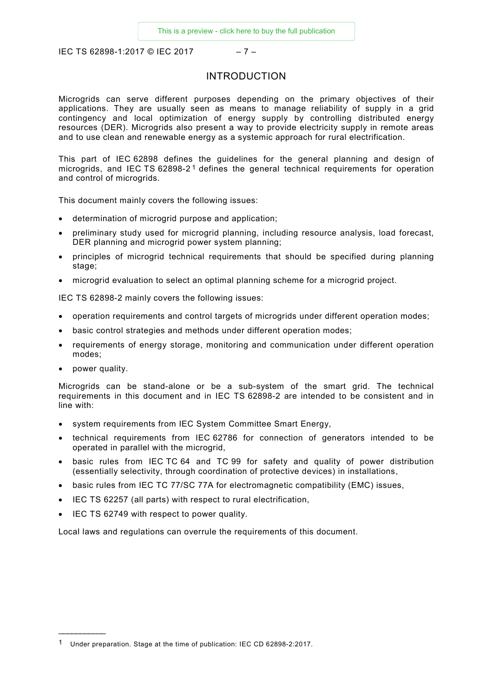<span id="page-6-0"></span>IEC TS 62898-1:2017 © IEC 2017 – 7 –

#### INTRODUCTION

Microgrids can serve different purposes depending on the primary objectives of their applications. They are usually seen as means to manage reliability of supply in a grid contingency and local optimization of energy supply by controlling distributed energy resources (DER). Microgrids also present a way to provide electricity supply in remote areas and to use clean and renewable energy as a systemic approach for rural electrification.

This part of IEC 62898 defines the guidelines for the general planning and design of microgrids, and IEC TS 62898-2 [1](#page-6-1) defines the general technical requirements for operation and control of microgrids.

This document mainly covers the following issues:

- determination of microgrid purpose and application;
- preliminary study used for microgrid planning, including resource analysis, load forecast, DER planning and microgrid power system planning;
- principles of microgrid technical requirements that should be specified during planning stage;
- microgrid evaluation to select an optimal planning scheme for a microgrid project.

IEC TS 62898-2 mainly covers the following issues:

- operation requirements and control targets of microgrids under different operation modes;
- basic control strategies and methods under different operation modes;
- requirements of energy storage, monitoring and communication under different operation modes;
- power quality.

\_\_\_\_\_\_\_\_\_\_\_\_\_

Microgrids can be stand-alone or be a sub-system of the smart grid. The technical requirements in this document and in IEC TS 62898-2 are intended to be consistent and in line with:

- system requirements from IEC System Committee Smart Energy,
- technical requirements from IEC 62786 for connection of generators intended to be operated in parallel with the microgrid,
- basic rules from IEC TC 64 and TC 99 for safety and quality of power distribution (essentially selectivity, through coordination of protective devices) in installations,
- basic rules from IEC TC 77/SC 77A for electromagnetic compatibility (EMC) issues,
- IEC TS 62257 (all parts) with respect to rural electrification,
- IEC TS 62749 with respect to power quality.

Local laws and regulations can overrule the requirements of this document.

<span id="page-6-1"></span><sup>1</sup> Under preparation. Stage at the time of publication: IEC CD 62898-2:2017.